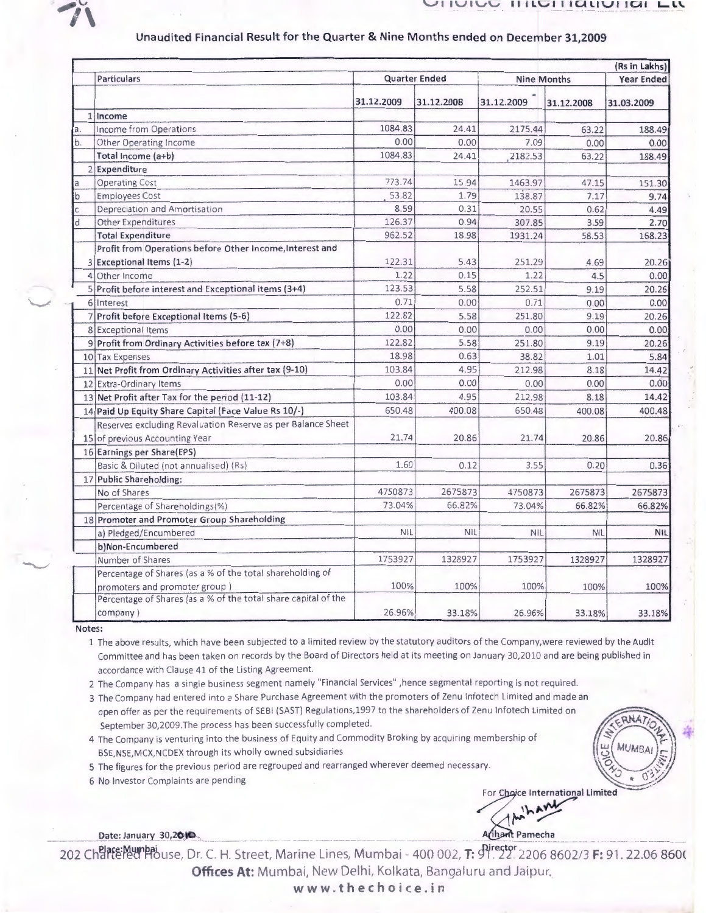

-\_./

 $\widetilde{\phantom{m}}$ 

## $\overline{v}$  III licitiational Lit

## Unaudited Financial Result for the Quarter & Nine Months ended on December 31,2009

|              |                                                                | (Rs in Lakhs)        |            |            |                    |                   |
|--------------|----------------------------------------------------------------|----------------------|------------|------------|--------------------|-------------------|
|              | <b>Particulars</b>                                             | <b>Quarter Ended</b> |            |            | <b>Nine Months</b> | <b>Year Ended</b> |
|              |                                                                | 31.12.2009           | 31.12.2008 | 31.12.2009 | 31.12.2008         | 31.03.2009        |
|              | 1 Income                                                       |                      |            |            |                    |                   |
| a.           | Income from Operations                                         | 1084.83              | 24.41      | 2175.44    | 63.22              | 188.49            |
| b.           | Other Operating Income                                         | 0.00                 | 0.00       | 7.09       | 0.00               | 0.00              |
|              | Total Income (a+b)                                             | 1084.83              | 24.41      | 2182.53    | 63.22              | 188.49            |
|              | 2 Expenditure                                                  |                      |            |            |                    |                   |
| la           | <b>Operating Cost</b>                                          | 773.74               | 15.94      | 1463.97    | 47.15              | 151.30            |
| b            | <b>Employees Cost</b>                                          | 53.82                | 1.79       | 138.87     | 7.17               | 9.74              |
| $\mathsf{C}$ | Depreciation and Amortisation                                  | 8.59                 | 0.31       | 20.55      | 0.62               | 4.49              |
| d            | <b>Other Expenditures</b>                                      | 126.37               | 0.94       | 307.85     | 3.59               | 2.70              |
|              | <b>Total Expenditure</b>                                       | 962.52               | 18.98      | 1931.24    | 58.53              | 158.23            |
|              | Profit from Operations before Other Income, Interest and       |                      |            |            |                    |                   |
|              | 3 Exceptional Items (1-2)                                      | 122.31               | 5.43       | 251.29     | 4.69               | 20.26             |
|              | 4 Other Income                                                 | 1.22                 | 0.15       | 1.22       | 4.5                | 0.00              |
|              | 5 Profit before interest and Exceptional items (3+4)           | 123.53               | 5.58       | 252.51     | 9.19               | 20.26             |
|              | 6 Interest                                                     | 0.71                 | 0.00       | 0.71       | 0.00               | 0.00              |
|              | 7 Profit before Exceptional Items (5-6)                        | 122.82               | 5.58       | 251.80     | 9.19               | 20.26             |
|              | 8 Exceptional Items                                            | 0.00                 | 0.00       | 0.00       | 0.00               | 0.00              |
|              | 9 Profit from Ordinary Activities before tax (7+8)             | 122.82               | 5.58       | 251.80     | 9.19               | 20.26             |
|              | 10 Tax Expenses                                                | 18.98                | 0.63       | 38.82      | 1.01               | 5.84              |
|              | 11 Net Profit from Ordinary Activities after tax (9-10)        | 103.84               | 4.95       | 212.98     | 8.18               | 14.42             |
|              | 12 Extra-Ordinary Items                                        | 0.00                 | 0.00       | 0.00       | 0.00               | 0.00              |
|              | 13 Net Profit after Tax for the period (11-12)                 | 103.84               | 4.95       | 212.98     | 8.18               | 14.42             |
|              | 14 Paid Up Equity Share Capital (Face Value Rs 10/-)           | 650.48               | 400.08     | 650.48     | 400.08             | 400.48            |
|              | Reserves excluding Revaluation Reserve as per Balance Sheet    |                      |            |            |                    |                   |
|              | 15 of previous Accounting Year                                 | 21.74                | 20.86      | 21.74      | 20.86              | 20.86             |
|              | 16 Earnings per Share(EPS)                                     |                      |            |            |                    |                   |
|              | Basic & Diluted (not annualised) (Rs)                          | 1.60                 | 0.12       | 3.55       | 0.20               | 0.36              |
|              | 17 Public Shareholding:                                        |                      |            |            |                    |                   |
|              | No of Shares                                                   | 4750873              | 2675873    | 4750873    | 2675873            | 2675873           |
|              | Percentage of Shareholdings(%)                                 | 73.04%               | 66.82%     | 73.04%     | 66.82%             | 66.82%            |
|              | 18 Promoter and Promoter Group Shareholding                    |                      |            |            |                    |                   |
|              | a) Pledged/Encumbered                                          | NIL                  | NIL        | <b>NIL</b> | <b>NIL</b>         | <b>NIL</b>        |
|              | b)Non-Encumbered                                               |                      |            |            |                    |                   |
|              | Number of Shares                                               | 1753927              | 1328927    | 1753927    | 1328927            | 1328927           |
|              | Percentage of Shares (as a % of the total shareholding of      |                      |            |            |                    |                   |
|              | promoters and promoter group)                                  | 100%                 | 100%       | 100%       | 100%               | 100%              |
|              | Percentage of Shares (as a % of the total share capital of the |                      |            |            |                    |                   |
|              | company)                                                       | 26.96%               | 33.18%     | 26.96%     | 33.18%             | 33.18%            |

Notes:

1 The above results, which have been subjected to a limited review by the statutory auditors of the Company, were reviewed by the Audit Committee and has been taken on records by the Board of Directors held at its meeting on January 30,2010 and are being published in accordance with Clause 41 of the Listing Agreement.

2 The Company has a single business segment namely "Financial Services" ,hence segmental reporting is not required.

3 The Company had entered into a Share Purchase Agreement with the promoters of Zenu Infotech Limited and made an open offer as per the requirements of SEBI (SAST) Regulations,1997 to the shareholders of Zenu lnfotech Limited on September 30,2009 .The process has been successfully completed.

4 The Company is venturing into the business of Equity and Commodity Braking by acquiring membership of BSE, NSE, MCX, NCDEX through its wholly owned subsidiaries

5 The figures for the previous period are regrouped and rearranged wherever deemed necessary.

6 No Investor Complaints are pending

For Choice International Limited  $\bigwedge$  that the limit

 $\frac{1}{2}$  $(1 - 2^r)$   $(1 - 2^r)$  $\frac{11}{2}$  MUMBAI  $\frac{1}{2}$ 

\_\_\_\_\_\_ Q.a\_.!\_~ .!:\_ \_} i.\_2!) t0\_\_ \_\_ --· \_ ---·----·---- \_\_ -------·· \_ .... \_\_\_\_\_\_ \_ ---~~--- ~~ C~ <l\_ \_\_ ·--·--- \_\_\_\_ ·· ·· --· ---·----

202 Charte: Mumbai use, Dr. C. H. Street, Marine Lines, Mumbai - 400 002, T: 91. 22. 2206 8602/3 F: 91. 22.06 8600 Offices At: Mumbai, New Delhi, Kolkata, Bangaluru and Jaipur.

www .t hechoice.in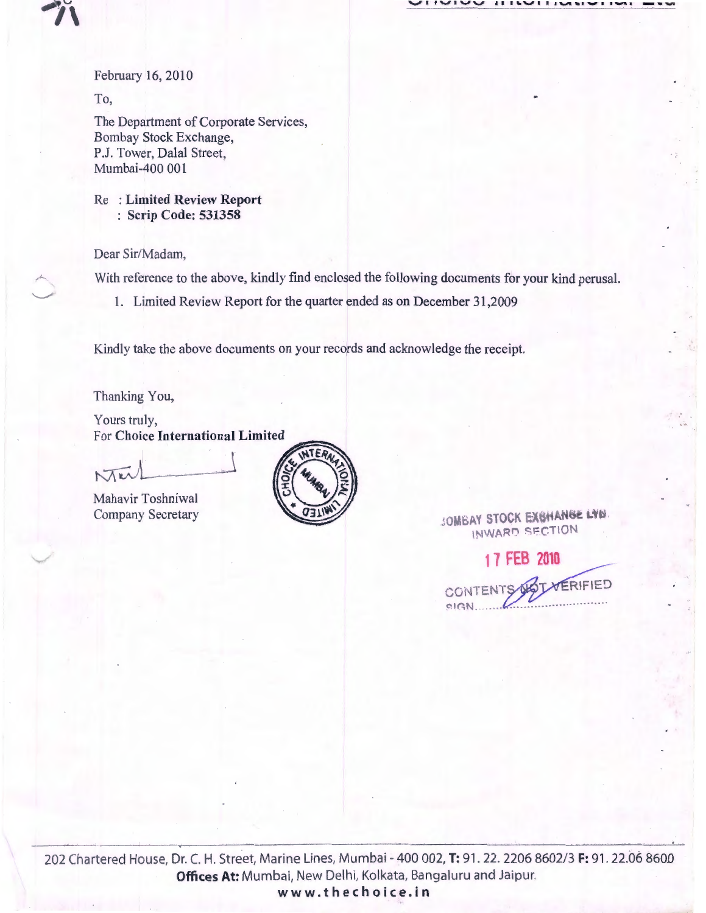$\overline{U}$ 

February 16, 2010

To,

 $\gamma$ 

 $\overline{\phantom{a}}$  $\widetilde{\phantom{m}}$ 

 $\sim\,$ 

The Department of Corporate Services, Bombay Stock Exchange, P.J. Tower, Dalal Street, Mumbai-400 001

Re : Limited Review Report : Scrip Code: 531358

Dear Sir/Madam,

With reference to the above, kindly find enclosed the following documents for your kind perusal.

1. Limited Review Report for the quarter ended as on December 31,2009

Kindly take the above documents on your records and acknowledge the receipt.

Thanking You,

Yours truly, For Choice International Limited

 $M_{\rm \kappa}$ 

Mahavir Toshniwal



Company Secretary WORLD COMBAY STOCK EXCHANGE LTD. INWARD SECTION

17 FEB 2010 VERIFIED CONTENT  $PIGN$ .

202 Chartered House, Dr. C. H. Street, Marine Lines, Mumbai - 400 002, T: 91 . 22. 2206 8602/3 F: 91. 22.06 8600 Offices At: Mumbai, New Delhi, Kolkata, Bangaluru and Jaipur. www.thechoice.in